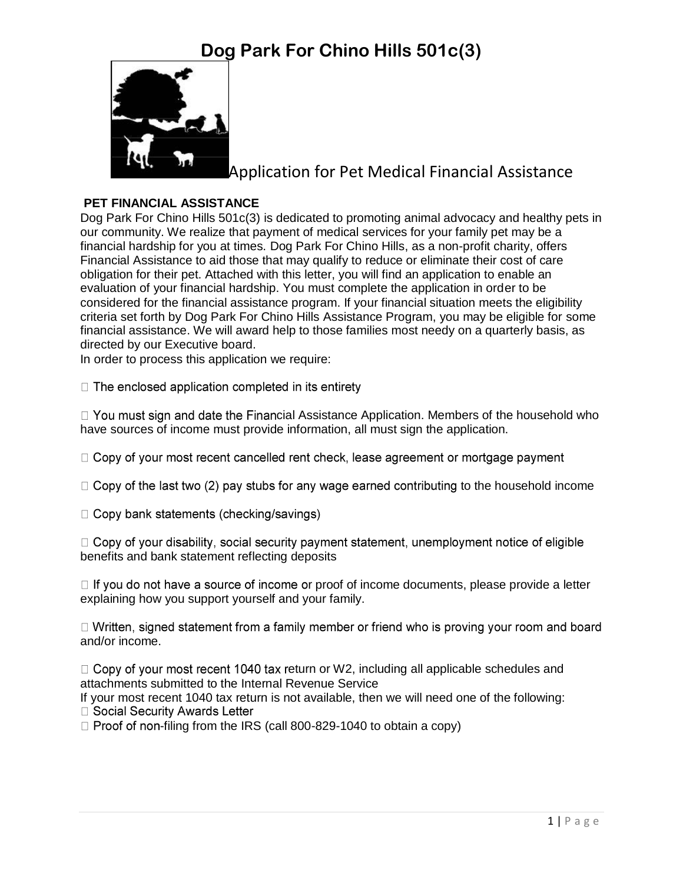

Application for Pet Medical Financial Assistance

### **PET FINANCIAL ASSISTANCE**

Dog Park For Chino Hills 501c(3) is dedicated to promoting animal advocacy and healthy pets in our community. We realize that payment of medical services for your family pet may be a financial hardship for you at times. Dog Park For Chino Hills, as a non-profit charity, offers Financial Assistance to aid those that may qualify to reduce or eliminate their cost of care obligation for their pet. Attached with this letter, you will find an application to enable an evaluation of your financial hardship. You must complete the application in order to be considered for the financial assistance program. If your financial situation meets the eligibility criteria set forth by Dog Park For Chino Hills Assistance Program, you may be eligible for some financial assistance. We will award help to those families most needy on a quarterly basis, as directed by our Executive board.

In order to process this application we require:

 $\Box$  The enclosed application completed in its entirety

 $\Box$  You must sign and date the Financial Assistance Application. Members of the household who have sources of income must provide information, all must sign the application.

□ Copy of your most recent cancelled rent check, lease agreement or mortgage payment

 $\Box$  Copy of the last two (2) pay stubs for any wage earned contributing to the household income

□ Copy bank statements (checking/savings)

 $\Box$  Copy of your disability, social security payment statement, unemployment notice of eligible benefits and bank statement reflecting deposits

 $\Box$  If you do not have a source of income or proof of income documents, please provide a letter explaining how you support yourself and your family.

 $\Box$  Written, signed statement from a family member or friend who is proving your room and board and/or income.

 $\Box$  Copy of your most recent 1040 tax return or W2, including all applicable schedules and attachments submitted to the Internal Revenue Service

If your most recent 1040 tax return is not available, then we will need one of the following:<br>  $\Box$  Social Security Awards Letter

 $\Box$  Proof of non-filing from the IRS (call 800-829-1040 to obtain a copy)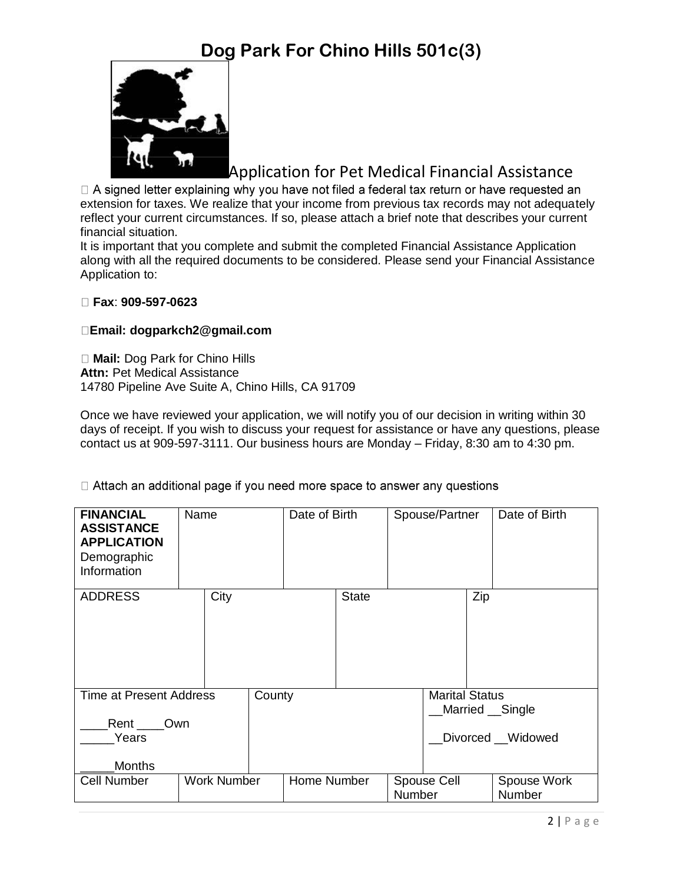

### Application for Pet Medical Financial Assistance

□ A signed letter explaining why you have not filed a federal tax return or have requested an extension for taxes. We realize that your income from previous tax records may not adequately reflect your current circumstances. If so, please attach a brief note that describes your current financial situation.

It is important that you complete and submit the completed Financial Assistance Application along with all the required documents to be considered. Please send your Financial Assistance Application to:

### **Fax**: **909-597-0623**

### **Email: dogparkch2@gmail.com**

**Mail:** Dog Park for Chino Hills **Attn: Pet Medical Assistance** 14780 Pipeline Ave Suite A, Chino Hills, CA 91709

Once we have reviewed your application, we will notify you of our decision in writing within 30 days of receipt. If you wish to discuss your request for assistance or have any questions, please contact us at 909-597-3111. Our business hours are Monday – Friday, 8:30 am to 4:30 pm.

 $\Box$  Attach an additional page if you need more space to answer any questions

| <b>FINANCIAL</b><br><b>ASSISTANCE</b><br><b>APPLICATION</b><br>Demographic<br>Information | Name |                    |        | Date of Birth |              |        | Spouse/Partner        |     | Date of Birth                      |
|-------------------------------------------------------------------------------------------|------|--------------------|--------|---------------|--------------|--------|-----------------------|-----|------------------------------------|
| <b>ADDRESS</b>                                                                            |      | City               |        |               | <b>State</b> |        |                       | Zip |                                    |
| <b>Time at Present Address</b><br>Rent<br>Own<br>Years                                    |      |                    | County |               |              |        | <b>Marital Status</b> |     | Married Single<br>Divorced Widowed |
| <b>Months</b>                                                                             |      |                    |        |               |              |        |                       |     |                                    |
| <b>Cell Number</b>                                                                        |      | <b>Work Number</b> |        | Home Number   |              | Number | Spouse Cell           |     | Spouse Work<br>Number              |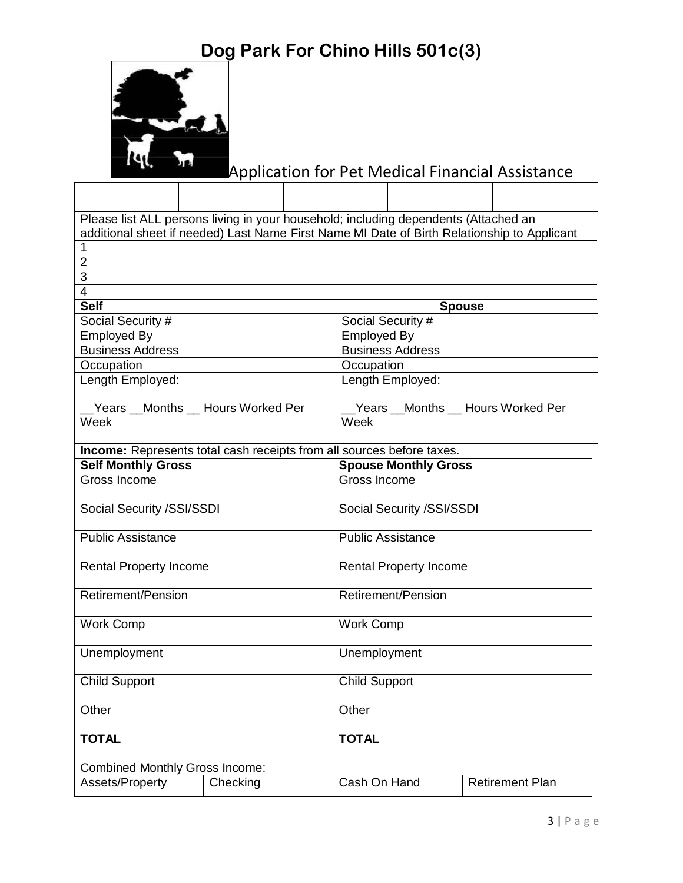

## Application for Pet Medical Financial Assistance

| Please list ALL persons living in your household; including dependents (Attached an         |                                       |                               |                                       |                  |                        |  |  |  |  |
|---------------------------------------------------------------------------------------------|---------------------------------------|-------------------------------|---------------------------------------|------------------|------------------------|--|--|--|--|
| additional sheet if needed) Last Name First Name MI Date of Birth Relationship to Applicant |                                       |                               |                                       |                  |                        |  |  |  |  |
| 1                                                                                           |                                       |                               |                                       |                  |                        |  |  |  |  |
| $\overline{2}$                                                                              |                                       |                               |                                       |                  |                        |  |  |  |  |
| 3                                                                                           |                                       |                               |                                       |                  |                        |  |  |  |  |
| 4                                                                                           |                                       |                               |                                       |                  |                        |  |  |  |  |
| <b>Self</b>                                                                                 |                                       |                               |                                       |                  | <b>Spouse</b>          |  |  |  |  |
| Social Security #                                                                           |                                       |                               | Social Security #                     |                  |                        |  |  |  |  |
| <b>Employed By</b>                                                                          |                                       |                               | <b>Employed By</b>                    |                  |                        |  |  |  |  |
| <b>Business Address</b>                                                                     |                                       |                               | <b>Business Address</b>               |                  |                        |  |  |  |  |
| Occupation                                                                                  |                                       |                               | Occupation                            |                  |                        |  |  |  |  |
| Length Employed:                                                                            |                                       |                               |                                       | Length Employed: |                        |  |  |  |  |
| __Years __Months __ Hours Worked Per<br>Week                                                |                                       |                               | Years Months Hours Worked Per<br>Week |                  |                        |  |  |  |  |
| Income: Represents total cash receipts from all sources before taxes.                       |                                       |                               |                                       |                  |                        |  |  |  |  |
| <b>Self Monthly Gross</b>                                                                   |                                       |                               | <b>Spouse Monthly Gross</b>           |                  |                        |  |  |  |  |
| Gross Income                                                                                |                                       |                               | Gross Income                          |                  |                        |  |  |  |  |
|                                                                                             |                                       |                               |                                       |                  |                        |  |  |  |  |
| Social Security /SSI/SSDI                                                                   |                                       |                               | Social Security /SSI/SSDI             |                  |                        |  |  |  |  |
| <b>Public Assistance</b>                                                                    |                                       |                               | Public Assistance                     |                  |                        |  |  |  |  |
| <b>Rental Property Income</b>                                                               |                                       | <b>Rental Property Income</b> |                                       |                  |                        |  |  |  |  |
| Retirement/Pension                                                                          |                                       |                               | Retirement/Pension                    |                  |                        |  |  |  |  |
| <b>Work Comp</b>                                                                            |                                       |                               | <b>Work Comp</b>                      |                  |                        |  |  |  |  |
| Unemployment                                                                                |                                       |                               | Unemployment                          |                  |                        |  |  |  |  |
| <b>Child Support</b>                                                                        |                                       |                               | <b>Child Support</b>                  |                  |                        |  |  |  |  |
| Other                                                                                       |                                       |                               | Other                                 |                  |                        |  |  |  |  |
| <b>TOTAL</b>                                                                                |                                       |                               | <b>TOTAL</b>                          |                  |                        |  |  |  |  |
|                                                                                             | <b>Combined Monthly Gross Income:</b> |                               |                                       |                  |                        |  |  |  |  |
| Assets/Property                                                                             | Checking                              |                               | Cash On Hand                          |                  | <b>Retirement Plan</b> |  |  |  |  |
|                                                                                             |                                       |                               |                                       |                  |                        |  |  |  |  |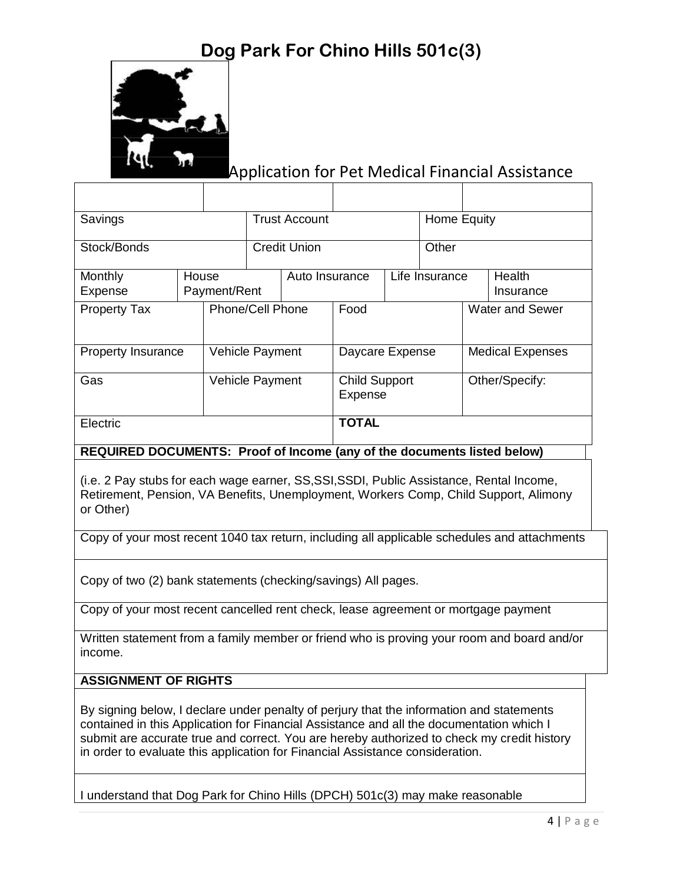

## Application for Pet Medical Financial Assistance

| Savings             |       | <b>Trust Account</b> |                 |                                 |                          | Home Equity            |                |                         |  |
|---------------------|-------|----------------------|-----------------|---------------------------------|--------------------------|------------------------|----------------|-------------------------|--|
| Stock/Bonds         |       | <b>Credit Union</b>  |                 |                                 | Other                    |                        |                |                         |  |
| Monthly<br>Expense  | House | Payment/Rent         |                 | Auto Insurance                  | Life Insurance<br>Health |                        | Insurance      |                         |  |
| <b>Property Tax</b> |       | Phone/Cell Phone     |                 | Food                            |                          | <b>Water and Sewer</b> |                |                         |  |
| Property Insurance  |       |                      | Vehicle Payment |                                 | Daycare Expense          |                        |                | <b>Medical Expenses</b> |  |
| Gas                 |       | Vehicle Payment      |                 | <b>Child Support</b><br>Expense |                          |                        | Other/Specify: |                         |  |
| Electric            |       |                      |                 |                                 | <b>TOTAL</b>             |                        |                |                         |  |

### **REQUIRED DOCUMENTS: Proof of Income (any of the documents listed below)**

(i.e. 2 Pay stubs for each wage earner, SS,SSI,SSDI, Public Assistance, Rental Income, Retirement, Pension, VA Benefits, Unemployment, Workers Comp, Child Support, Alimony or Other)

Copy of your most recent 1040 tax return, including all applicable schedules and attachments

Copy of two (2) bank statements (checking/savings) All pages.

Copy of your most recent cancelled rent check, lease agreement or mortgage payment

Written statement from a family member or friend who is proving your room and board and/or income.

### **ASSIGNMENT OF RIGHTS**

By signing below, I declare under penalty of perjury that the information and statements contained in this Application for Financial Assistance and all the documentation which I submit are accurate true and correct. You are hereby authorized to check my credit history in order to evaluate this application for Financial Assistance consideration.

I understand that Dog Park for Chino Hills (DPCH) 501c(3) may make reasonable